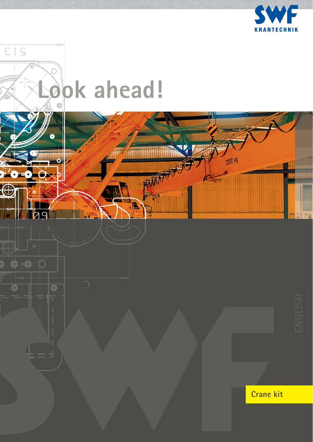

3200 kg

AM

HE A



Ŧ

 $\rightarrow$ 

Ċ

 $\overline{D}$  $\Box$ 

100

Z.

 $\circ$ 

G

 $\overline{\textbf{c}}$ 

 $\bigcirc$ 

 $\overline{\mathbf{O}}$ 



### **Crane kit**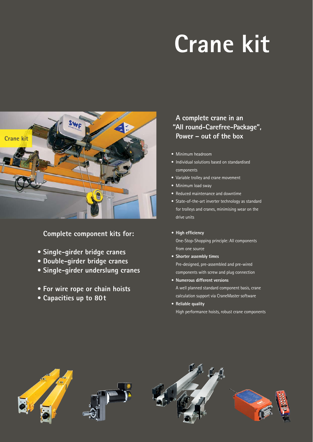# **Crane kit**



 **Complete component kits for:**

- **Single-girder bridge cranes**
- **Double-girder bridge cranes**
- **Single-girder underslung cranes**
- **For wire rope or chain hoists**
- **Capacities up to 80t**

#### **A complete crane in an "All round-Carefree-Package", Power – out of the box**

- Minimum headroom
- Individual solutions based on standardised components
- Variable trolley and crane movement
- Minimum load sway
- Reduced maintenance and downtime
- State-of-the-art inverter technology as standard for trolleys and cranes, minimising wear on the drive units
- High efficiency One-Stop-Shopping principle: All components from one source
- **Shorter assembly times** Pre-designed, pre-assembled and pre-wired components with screw and plug connection
- **Numerous different versions** A well planned standard component basis, crane calculation support via CraneMaster software
- **Reliable quality** High performance hoists, robust crane components

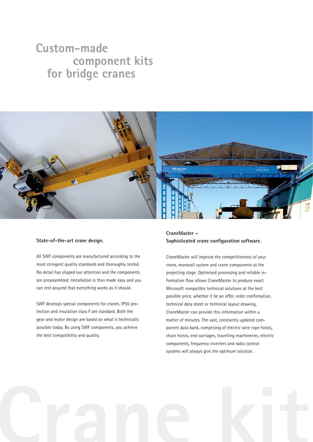### **Custom-made component kits for bridge cranes**



#### **State-of-the-art crane design.**

All SWF components are manufactured according to the most stringent quality standards and thoroughly tested. No detail has slipped our attention and the components are preassembled. Installation is thus made easy and you can rest assured that everything works as it should.

SWF develops special components for cranes. IP55 protection and insulation class F are standard. Both the gear and motor design are based on what is technically possible today. By using SWF components, you achieve the best compatibility and quality.

#### **CraneMaster –** Sophisticated crane configuration software.

CraneMaster will improve the competitiveness of your crane, monorail system and crane components at the projecting stage. Optimised processing and reliable information flow allows CraneMaster to produce exact Microsoft compatible technical solutions at the best possible price, whether it be an offer, order confirmation, technical data sheet or technical layout drawing, CraneMaster can provide this information within a matter of minutes. The vast, constantly updated component data bank, comprising of electric wire rope hoists, chain hoists, end carriages, travelling machineries, electric components, frequency inverters and radio control systems will always give the optimum solution.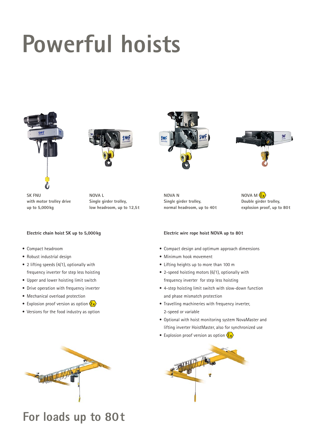## **Powerful hoists**





**NOVA L**

**Single girder trolley, low headroom, up to 12,5t**

**SK FNU with motor trolley drive up to 5,000kg**

#### **Electric chain hoist SK up to 5,000kg**

- Compact headroom
- Robust industrial design
- 2 lifting speeds (4/1), optionally with frequency inverter for step less hoisting
- Upper and lower hoisting limit switch
- Drive operation with frequency inverter
- Mechanical overload protection
- Explosion proof version as option  $\langle \mathbf{\hat{E}} \mathbf{x} \rangle$
- Versions for the food industry as option



## **For loads up to 80t**





**NOVA N Single girder trolley, normal headroom, up to 40t** **NOVA M Double girder trolley, explosion proof, up to 80t**

#### **Electric wire rope hoist NOVA up to 80t**

- Compact design and optimum approach dimensions
- Minimum hook movement
- Lifting heights up to more than 100 m
- 2-speed hoisting motors (6/1), optionally with frequency inverter for step less hoisting
- 4-step hoisting limit switch with slow-down function and phase mismatch protection
- Travelling machineries with frequency inverter, 2-speed or variable
- Optional with hoist monitoring system NovaMaster and lifting inverter HoistMaster, also for synchronized use
- Explosion proof version as option  $\sqrt{\epsilon_x}$

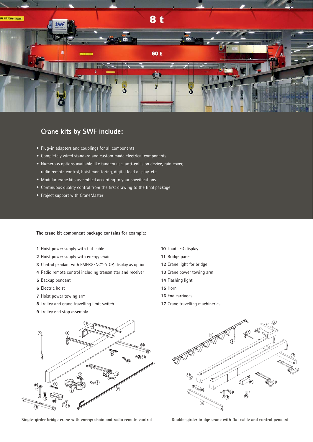

#### **Crane kits by SWF include:**

- Plug-in adapters and couplings for all components
- Completely wired standard and custom made electrical components
- Numerous options available like tandem use, anti-collision device, rain cover, radio remote control, hoist monitoring, digital load display, etc.
- Modular crane kits assembled according to your specifications
- Continuous quality control from the first drawing to the final package
- Project support with CraneMaster

#### **The crane kit component package contains for example:**

- Hoist power supply with flat cable
- Hoist power supply with energy chain
- Control pendant with EMERGENCY-STOP, display as option
- Radio remote control including transmitter and receiver
- Backup pendant
- Electric hoist
- Hoist power towing arm
- Trolley and crane travelling limit switch
- Trolley end stop assembly
- Load LED display
- Bridge panel
- Crane light for bridge
- Crane power towing arm
- Flashing light
- Horn
- End carriages
- Crane travelling machineries



Single-girder bridge crane with energy chain and radio remote control **Double-girder bridge crane with flat cable and control pendant**